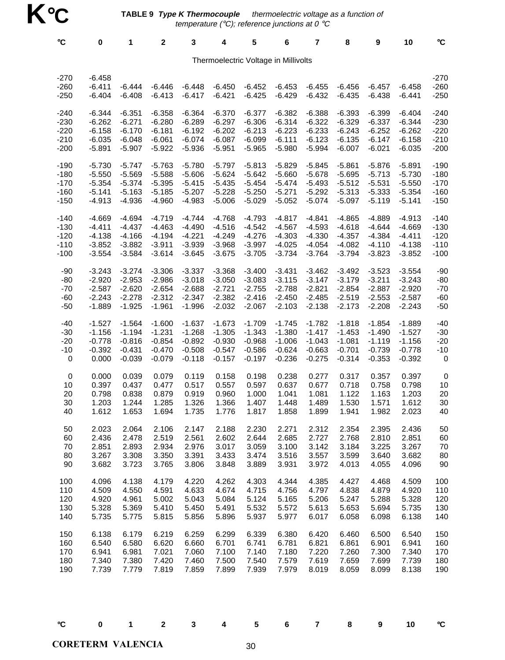**TABLE 9 Type K Thermocouple**  thermoelectric voltage as a function of temperature (°C); reference junctions at 0 °C

| $\rm ^{\circ}C$            | $\pmb{0}$                        | 1                    | $\mathbf 2$          | 3                    | 4                    | 5                                    | 6                    | 7                    | 8                    | 9                    | 10                   | $\circ$ C                  |
|----------------------------|----------------------------------|----------------------|----------------------|----------------------|----------------------|--------------------------------------|----------------------|----------------------|----------------------|----------------------|----------------------|----------------------------|
|                            |                                  |                      |                      |                      |                      | Thermoelectric Voltage in Millivolts |                      |                      |                      |                      |                      |                            |
| $-270$<br>$-260$<br>$-250$ | $-6.458$<br>$-6.411$<br>$-6.404$ | $-6.444$<br>$-6.408$ | $-6.446$<br>$-6.413$ | $-6.448$<br>$-6.417$ | $-6.450$<br>$-6.421$ | $-6.452$<br>$-6.425$                 | $-6.453$<br>$-6.429$ | $-6.455$<br>$-6.432$ | $-6.456$<br>$-6.435$ | $-6.457$<br>$-6.438$ | $-6.458$<br>$-6.441$ | $-270$<br>$-260$<br>$-250$ |
| $-240$                     | $-6.344$                         | $-6.351$             | $-6.358$             | $-6.364$             | $-6.370$             | $-6.377$                             | $-6.382$             | $-6.388$             | $-6.393$             | $-6.399$             | $-6.404$             | $-240$                     |
| $-230$                     | $-6.262$                         | $-6.271$             | $-6.280$             | $-6.289$             | $-6.297$             | $-6.306$                             | $-6.314$             | $-6.322$             | $-6.329$             | $-6.337$             | $-6.344$             | $-230$                     |
| $-220$                     | $-6.158$                         | $-6.170$             | $-6.181$             | $-6.192$             | $-6.202$             | $-6.213$                             | $-6.223$             | $-6.233$             | $-6.243$             | $-6.252$             | $-6.262$             | $-220$                     |
| $-210$                     | $-6.035$                         | $-6.048$             | $-6.061$             | $-6.074$             | $-6.087$             | $-6.099$                             | $-6.111$             | $-6.123$             | $-6.135$             | $-6.147$             | $-6.158$             | $-210$                     |
| $-200$                     | $-5.891$                         | $-5.907$             | $-5.922$             | $-5.936$             | $-5.951$             | $-5.965$                             | $-5.980$             | $-5.994$             | $-6.007$             | $-6.021$             | $-6.035$             | $-200$                     |
| $-190$                     | $-5.730$                         | $-5.747$             | $-5.763$             | $-5.780$             | $-5.797$             | $-5.813$                             | $-5.829$             | $-5.845$             | $-5.861$             | $-5.876$             | $-5.891$             | $-190$                     |
| $-180$                     | $-5.550$                         | $-5.569$             | $-5.588$             | $-5.606$             | $-5.624$             | $-5.642$                             | $-5.660$             | $-5.678$             | $-5.695$             | $-5.713$             | $-5.730$             | $-180$                     |
| $-170$                     | $-5.354$                         | $-5.374$             | $-5.395$             | $-5.415$             | $-5.435$             | $-5.454$                             | $-5.474$             | $-5.493$             | $-5.512$             | $-5.531$             | $-5.550$             | $-170$                     |
| $-160$                     | $-5.141$                         | $-5.163$             | $-5.185$             | $-5.207$             | $-5.228$             | $-5.250$                             | $-5.271$             | $-5.292$             | $-5.313$             | $-5.333$             | $-5.354$             | $-160$                     |
| $-150$                     | $-4.913$                         | $-4.936$             | $-4.960$             | $-4.983$             | $-5.006$             | $-5.029$                             | $-5.052$             | $-5.074$             | $-5.097$             | $-5.119$             | $-5.141$             | $-150$                     |
| $-140$                     | $-4.669$                         | $-4.694$             | $-4.719$             | $-4.744$             | $-4.768$             | $-4.793$                             | $-4.817$             | $-4.841$             | $-4.865$             | $-4.889$             | $-4.913$             | $-140$                     |
| $-130$                     | $-4.411$                         | $-4.437$             | $-4.463$             | $-4.490$             | $-4.516$             | $-4.542$                             | $-4.567$             | $-4.593$             | $-4.618$             | $-4.644$             | $-4.669$             | $-130$                     |
| $-120$                     | $-4.138$                         | $-4.166$             | $-4.194$             | $-4.221$             | $-4.249$             | $-4.276$                             | $-4.303$             | $-4.330$             | $-4.357$             | $-4.384$             | $-4.411$             | $-120$                     |
| $-110$                     | $-3.852$                         | $-3.882$             | $-3.911$             | $-3.939$             | $-3.968$             | $-3.997$                             | $-4.025$             | $-4.054$             | $-4.082$             | $-4.110$             | $-4.138$             | $-110$                     |
| $-100$                     | $-3.554$                         | $-3.584$             | $-3.614$             | $-3.645$             | $-3.675$             | $-3.705$                             | $-3.734$             | $-3.764$             | $-3.794$             | $-3.823$             | $-3.852$             | $-100$                     |
| $-90$                      | $-3.243$                         | $-3.274$             | $-3.306$             | $-3.337$             | $-3.368$             | $-3.400$                             | $-3.431$             | $-3.462$             | $-3.492$             | $-3.523$             | $-3.554$             | $-90$                      |
| $-80$                      | $-2.920$                         | $-2.953$             | $-2.986$             | $-3.018$             | $-3.050$             | $-3.083$                             | $-3.115$             | $-3.147$             | $-3.179$             | $-3.211$             | $-3.243$             | $-80$                      |
| $-70$                      | $-2.587$                         | $-2.620$             | $-2.654$             | $-2.688$             | $-2.721$             | $-2.755$                             | $-2.788$             | $-2.821$             | $-2.854$             | $-2.887$             | $-2.920$             | $-70$                      |
| $-60$                      | $-2.243$                         | $-2.278$             | $-2.312$             | $-2.347$             | $-2.382$             | $-2.416$                             | $-2.450$             | $-2.485$             | $-2.519$             | $-2.553$             | $-2.587$             | $-60$                      |
| $-50$                      | $-1.889$                         | $-1.925$             | $-1.961$             | $-1.996$             | $-2.032$             | $-2.067$                             | $-2.103$             | $-2.138$             | $-2.173$             | $-2.208$             | $-2.243$             | $-50$                      |
| $-40$                      | $-1.527$                         | $-1.564$             | $-1.600$             | $-1.637$             | $-1.673$             | $-1.709$                             | $-1.745$             | $-1.782$             | $-1.818$             | $-1.854$             | $-1.889$             | $-40$                      |
| $-30$                      | $-1.156$                         | $-1.194$             | $-1.231$             | $-1.268$             | $-1.305$             | $-1.343$                             | $-1.380$             | $-1.417$             | $-1.453$             | $-1.490$             | $-1.527$             | $-30$                      |
| $-20$                      | $-0.778$                         | $-0.816$             | $-0.854$             | $-0.892$             | $-0.930$             | $-0.968$                             | $-1.006$             | $-1.043$             | $-1.081$             | $-1.119$             | $-1.156$             | $-20$                      |
| $-10$                      | $-0.392$                         | $-0.431$             | $-0.470$             | $-0.508$             | $-0.547$             | $-0.586$                             | $-0.624$             | $-0.663$             | $-0.701$             | $-0.739$             | $-0.778$             | $-10$                      |
| $\mathbf 0$                | 0.000                            | $-0.039$             | $-0.079$             | $-0.118$             | $-0.157$             | $-0.197$                             | $-0.236$             | $-0.275$             | $-0.314$             | $-0.353$             | $-0.392$             | 0                          |
| $\pmb{0}$                  | 0.000                            | 0.039                | 0.079                | 0.119                | 0.158                | 0.198                                | 0.238                | 0.277                | 0.317                | 0.357                | 0.397                | 0                          |
| 10                         | 0.397                            | 0.437                | 0.477                | 0.517                | 0.557                | 0.597                                | 0.637                | 0.677                | 0.718                | 0.758                | 0.798                | 10                         |
| 20                         | 0.798                            | 0.838                | 0.879                | 0.919                | 0.960                | 1.000                                | 1.041                | 1.081                | 1.122                | 1.163                | 1.203                | 20                         |
| 30                         | 1.203                            | 1.244                | 1.285                | 1.326                | 1.366                | 1.407                                | 1.448                | 1.489                | 1.530                | 1.571                | 1.612                | 30                         |
| 40                         | 1.612                            | 1.653                | 1.694                | 1.735                | 1.776                | 1.817                                | 1.858                | 1.899                | 1.941                | 1.982                | 2.023                | 40                         |
| 50                         | 2.023                            | 2.064                | 2.106                | 2.147                | 2.188                | 2.230                                | 2.271                | 2.312                | 2.354                | 2.395                | 2.436                | 50                         |
| 60                         | 2.436                            | 2.478                | 2.519                | 2.561                | 2.602                | 2.644                                | 2.685                | 2.727                | 2.768                | 2.810                | 2.851                | 60                         |
| 70                         | 2.851                            | 2.893                | 2.934                | 2.976                | 3.017                | 3.059                                | 3.100                | 3.142                | 3.184                | 3.225                | 3.267                | 70                         |
| 80                         | 3.267                            | 3.308                | 3.350                | 3.391                | 3.433                | 3.474                                | 3.516                | 3.557                | 3.599                | 3.640                | 3.682                | 80                         |
| 90                         | 3.682                            | 3.723                | 3.765                | 3.806                | 3.848                | 3.889                                | 3.931                | 3.972                | 4.013                | 4.055                | 4.096                | 90                         |
| 100                        | 4.096                            | 4.138                | 4.179                | 4.220                | 4.262                | 4.303                                | 4.344                | 4.385                | 4.427                | 4.468                | 4.509                | 100                        |
| 110                        | 4.509                            | 4.550                | 4.591                | 4.633                | 4.674                | 4.715                                | 4.756                | 4.797                | 4.838                | 4.879                | 4.920                | 110                        |
| 120                        | 4.920                            | 4.961                | 5.002                | 5.043                | 5.084                | 5.124                                | 5.165                | 5.206                | 5.247                | 5.288                | 5.328                | 120                        |
| 130                        | 5.328                            | 5.369                | 5.410                | 5.450                | 5.491                | 5.532                                | 5.572                | 5.613                | 5.653                | 5.694                | 5.735                | 130                        |
| 140                        | 5.735                            | 5.775                | 5.815                | 5.856                | 5.896                | 5.937                                | 5.977                | 6.017                | 6.058                | 6.098                | 6.138                | 140                        |
| 150                        | 6.138                            | 6.179                | 6.219                | 6.259                | 6.299                | 6.339                                | 6.380                | 6.420                | 6.460                | 6.500                | 6.540                | 150                        |
| 160                        | 6.540                            | 6.580                | 6.620                | 6.660                | 6.701                | 6.741                                | 6.781                | 6.821                | 6.861                | 6.901                | 6.941                | 160                        |
| 170                        | 6.941                            | 6.981                | 7.021                | 7.060                | 7.100                | 7.140                                | 7.180                | 7.220                | 7.260                | 7.300                | 7.340                | 170                        |
| 180                        | 7.340                            | 7.380                | 7.420                | 7.460                | 7.500                | 7.540                                | 7.579                | 7.619                | 7.659                | 7.699                | 7.739                | 180                        |
| 190                        | 7.739                            | 7.779                | 7.819                | 7.859                | 7.899                | 7.939                                | 7.979                | 8.019                | 8.059                | 8.099                | 8.138                | 190                        |

°**C 0 1 2 3 4 5 6 7 8 9 10** °**C**

**CORETERM VALENCIA** 30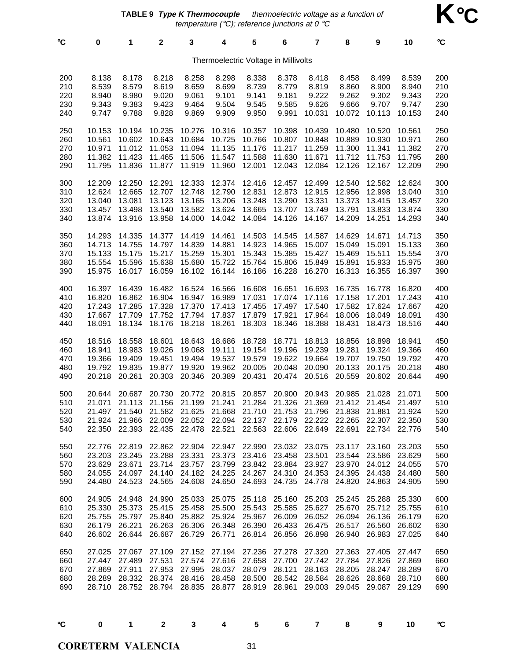**TABLE 9 Type K Thermocouple** - thermoelectric voltage as a function of temperature ( $^{\circ}$ C); reference junctions at 0  $^{\circ}$ C

**K**°**C**

| °C                              | 0                                              | 1                                              | $\mathbf 2$                                                                                                                               | 3                                                                                                                                                                     | 4                              | 5                                    | 6                                                     | 7                                    | 8                                                                | 9                                                                | 10                                             | °C                              |
|---------------------------------|------------------------------------------------|------------------------------------------------|-------------------------------------------------------------------------------------------------------------------------------------------|-----------------------------------------------------------------------------------------------------------------------------------------------------------------------|--------------------------------|--------------------------------------|-------------------------------------------------------|--------------------------------------|------------------------------------------------------------------|------------------------------------------------------------------|------------------------------------------------|---------------------------------|
|                                 |                                                |                                                |                                                                                                                                           |                                                                                                                                                                       |                                | Thermoelectric Voltage in Millivolts |                                                       |                                      |                                                                  |                                                                  |                                                |                                 |
| 200                             | 8.138                                          | 8.178                                          | 8.218                                                                                                                                     | 8.258                                                                                                                                                                 | 8.298                          | 8.338                                | 8.378                                                 | 8.418                                | 8.458                                                            | 8.499                                                            | 8.539                                          | 200                             |
| 210                             | 8.539                                          | 8.579                                          | 8.619                                                                                                                                     | 8.659                                                                                                                                                                 | 8.699                          | 8.739                                | 8.779                                                 | 8.819                                | 8.860                                                            | 8.900                                                            | 8.940                                          | 210                             |
| 220                             | 8.940                                          | 8.980                                          | 9.020                                                                                                                                     | 9.061                                                                                                                                                                 | 9.101                          | 9.141                                | 9.181                                                 | 9.222                                | 9.262                                                            | 9.302                                                            | 9.343                                          | 220                             |
| 230                             | 9.343                                          | 9.383                                          | 9.423                                                                                                                                     | 9.464                                                                                                                                                                 | 9.504                          | 9.545                                | 9.585                                                 | 9.626                                | 9.666                                                            | 9.707                                                            | 9.747                                          | 230                             |
| 240                             | 9.747                                          | 9.788                                          | 9.828                                                                                                                                     | 9.869                                                                                                                                                                 | 9.909                          | 9.950                                | 9.991                                                 | 10.031                               | 10.072                                                           | 10.113                                                           | 10.153                                         | 240                             |
| 250                             | 10.153                                         | 10.194                                         | 10.235                                                                                                                                    | 10.276                                                                                                                                                                | 10.316                         | 10.357                               | 10.398                                                | 10.439                               | 10.480                                                           | 10.520                                                           | 10.561                                         | 250                             |
| 260                             | 10.561                                         | 10.602                                         | 10.643                                                                                                                                    | 10.684                                                                                                                                                                | 10.725                         | 10.766                               | 10.807                                                | 10.848                               | 10.889                                                           | 10.930                                                           | 10.971                                         | 260                             |
| 270                             | 10.971                                         | 11.012                                         | 11.053                                                                                                                                    | 11.094                                                                                                                                                                | 11.135                         | 11.176                               | 11.217                                                | 11.259                               | 11.300                                                           | 11.341                                                           | 11.382                                         | 270                             |
| 280                             | 11.382                                         | 11.423                                         | 11.465                                                                                                                                    | 11.506                                                                                                                                                                | 11.547                         | 11.588                               | 11.630                                                | 11.671                               | 11.712                                                           | 11.753                                                           | 11.795                                         | 280                             |
| 290                             | 11.795                                         | 11.836                                         | 11.877                                                                                                                                    | 11.919                                                                                                                                                                | 11.960                         | 12.001                               | 12.043                                                | 12.084                               | 12.126                                                           | 12.167                                                           | 12.209                                         | 290                             |
| 300                             | 12.209                                         | 12.250                                         | 12.291                                                                                                                                    | 12.333                                                                                                                                                                | 12.374                         | 12.416                               | 12.457                                                | 12.499                               | 12.540                                                           | 12.582                                                           | 12.624                                         | 300                             |
| 310                             | 12.624                                         | 12.665                                         | 12.707                                                                                                                                    | 12.748                                                                                                                                                                | 12.790                         | 12.831                               | 12.873                                                | 12.915                               | 12.956                                                           | 12.998                                                           | 13.040                                         | 310                             |
| 320                             | 13.040                                         | 13.081                                         | 13.123                                                                                                                                    | 13.165                                                                                                                                                                | 13.206                         | 13.248                               | 13.290                                                | 13.331                               | 13.373                                                           | 13.415                                                           | 13.457                                         | 320                             |
| 330                             | 13.457                                         | 13.498                                         | 13.540                                                                                                                                    | 13.582                                                                                                                                                                | 13.624                         | 13.665                               | 13.707                                                | 13.749                               | 13.791                                                           | 13.833                                                           | 13.874                                         | 330                             |
| 340                             | 13.874                                         | 13.916                                         | 13.958                                                                                                                                    | 14.000                                                                                                                                                                | 14.042                         | 14.084                               | 14.126                                                | 14.167                               | 14.209                                                           | 14.251                                                           | 14.293                                         | 340                             |
| 350                             | 14.293                                         | 14.335                                         | 14.377                                                                                                                                    | 14.419                                                                                                                                                                | 14.461                         | 14.503                               | 14.545                                                | 14.587                               | 14.629                                                           | 14.671                                                           | 14.713                                         | 350                             |
| 360                             | 14.713                                         | 14.755                                         | 14.797                                                                                                                                    | 14.839                                                                                                                                                                | 14.881                         | 14.923                               | 14.965                                                | 15.007                               | 15.049                                                           | 15.091                                                           | 15.133                                         | 360                             |
| 370                             | 15.133                                         | 15.175                                         | 15.217                                                                                                                                    | 15.259                                                                                                                                                                | 15.301                         | 15.343                               | 15.385                                                | 15.427                               | 15.469                                                           | 15.511                                                           | 15.554                                         | 370                             |
| 380                             | 15.554                                         | 15.596                                         | 15.638                                                                                                                                    | 15.680                                                                                                                                                                | 15.722                         | 15.764                               | 15.806                                                | 15.849                               | 15.891                                                           | 15.933                                                           | 15.975                                         | 380                             |
| 390                             | 15.975                                         | 16.017                                         | 16.059                                                                                                                                    | 16.102                                                                                                                                                                | 16.144                         | 16.186                               | 16.228                                                | 16.270                               | 16.313                                                           | 16.355                                                           | 16.397                                         | 390                             |
| 400                             | 16.397                                         | 16.439                                         | 16.482                                                                                                                                    | 16.524                                                                                                                                                                | 16.566                         | 16.608                               | 16.651                                                | 16.693                               | 16.735                                                           | 16.778                                                           | 16.820                                         | 400                             |
| 410                             | 16.820                                         | 16.862                                         | 16.904                                                                                                                                    | 16.947                                                                                                                                                                | 16.989                         | 17.031                               | 17.074                                                | 17.116                               | 17.158                                                           | 17.201                                                           | 17.243                                         | 410                             |
| 420                             | 17.243                                         | 17.285                                         | 17.328                                                                                                                                    | 17.370                                                                                                                                                                | 17.413                         | 17.455                               | 17.497                                                | 17.540                               | 17.582                                                           | 17.624                                                           | 17.667                                         | 420                             |
| 430                             | 17.667                                         | 17.709                                         | 17.752                                                                                                                                    | 17.794                                                                                                                                                                | 17.837                         | 17.879                               | 17.921                                                | 17.964                               | 18.006                                                           | 18.049                                                           | 18.091                                         | 430                             |
| 440                             | 18.091                                         | 18.134                                         | 18.176                                                                                                                                    | 18.218                                                                                                                                                                | 18.261                         | 18.303                               | 18.346                                                | 18.388                               | 18.431                                                           | 18.473                                                           | 18.516                                         | 440                             |
| 450                             | 18.516                                         | 18.558                                         | 18.601                                                                                                                                    | 18.643                                                                                                                                                                | 18.686                         | 18.728                               | 18.771                                                | 18.813                               | 18.856                                                           | 18.898                                                           | 18.941                                         | 450                             |
| 460                             | 18.941                                         | 18.983                                         | 19.026                                                                                                                                    | 19.068                                                                                                                                                                | 19.111                         | 19.154                               | 19.196                                                | 19.239                               | 19.281                                                           | 19.324                                                           | 19.366                                         | 460                             |
| 470                             | 19.366                                         | 19.409                                         | 19.451                                                                                                                                    | 19.494                                                                                                                                                                | 19.537                         | 19.579                               | 19.622                                                | 19.664                               | 19.707                                                           | 19.750                                                           | 19.792                                         | 470                             |
| 480                             | 19.792                                         | 19.835                                         | 19.877                                                                                                                                    | 19.920                                                                                                                                                                | 19.962                         | 20.005                               | 20.048                                                | 20.090                               | 20.133                                                           | 20.175                                                           | 20.218                                         | 480                             |
| 490                             | 20.218                                         | 20.261                                         | 20.303                                                                                                                                    | 20.346                                                                                                                                                                | 20.389                         | 20.431                               | 20.474                                                | 20.516                               | 20.559                                                           | 20.602                                                           | 20.644                                         | 490                             |
| 500<br>510<br>520<br>530<br>540 | 20.644<br>21.071<br>21.497<br>21.924<br>22,350 | 20.687<br>21.113<br>21.540<br>22.393           | 20.730<br>21.156<br>21.582<br>21.966 22.009 22.052 22.094 22.137 22.179 22.222 22.265 22.307<br>22.435 22.478 22.521 22.563 22.606 22.649 | 20.772<br>21.199<br>21.625                                                                                                                                            | 20.815<br>21.241<br>21.668     | 20.857<br>21.284<br>21.710           | 20.900<br>21.326<br>21.753                            | 20.943<br>21.369<br>21.796           | 20.985<br>21.412<br>21.838<br>22.691                             | 21.028<br>21.454<br>21.881<br>22.734                             | 21.071<br>21.497<br>21.924<br>22.350<br>22.776 | 500<br>510<br>520<br>530<br>540 |
| 550<br>560<br>570<br>580<br>590 | 22.776<br>23.203<br>23.629<br>24.055<br>24.480 | 22.819<br>23.245<br>23.671<br>24.097<br>24.523 |                                                                                                                                           | 22.862 22.904 22.947 22.990 23.032 23.075 23.117<br>23.288 23.331<br>23.714 23.757 23.799 23.842 23.884 23.927<br>24.140 24.182 24.225 24.267<br>24.565 24.608 24.650 |                                | 23.373 23.416 23.458 23.501          | 24.693 24.735                                         | 24.310 24.353<br>24.778              | 23.544 23.586<br>24.820                                          | 23.160<br>23.970 24.012 24.055<br>24.395 24.438 24.480<br>24.863 | 23.203<br>23.629<br>24.905                     | 550<br>560<br>570<br>580<br>590 |
| 600<br>610<br>620<br>630<br>640 | 24.905<br>25.330<br>25.755<br>26.179<br>26.602 | 24.948<br>25.373<br>25.797<br>26.221<br>26.644 | 24.990<br>25.415<br>26.687                                                                                                                | 25.033 25.075<br>25.458<br>25.840 25.882 25.924 25.967<br>26.263 26.306 26.348 26.390<br>26.729 26.771                                                                | 25.500                         | 25.118<br>25.543                     | 25.160<br>25.585<br>26.009<br>26.433<br>26.814 26.856 | 25.203<br>25.627<br>26.475<br>26.898 | 25.245<br>25.670<br>26.052 26.094<br>26.517<br>26.940            | 25.288<br>25.712<br>26.136<br>26.560<br>26.983 27.025            | 25.330<br>25.755<br>26.179<br>26.602           | 600<br>610<br>620<br>630<br>640 |
| 650<br>660<br>670<br>680<br>690 | 27.025<br>27.447<br>27.869<br>28.289<br>28.710 | 27.067<br>27.489<br>27.911<br>28.332           | 27.109<br>27.531<br>27.953<br>28.752 28.794 28.835 28.877 28.919 28.961                                                                   | 27.995<br>28.374 28.416 28.458 28.500 28.542 28.584 28.626                                                                                                            | 27.152 27.194 27.236<br>28.037 | 27.574 27.616 27.658<br>28.079       | 27.278<br>27.700<br>28.121                            | 27.320<br>27.742<br>28.163           | 27.363<br>27.784 27.826<br>28.205<br>29.003 29.045 29.087 29.129 | 27.405<br>28.247<br>28.668                                       | 27.447<br>27.869<br>28.289<br>28.710           | 650<br>660<br>670<br>680<br>690 |

°**C 0 1 2 3 4 5 6 7 8 9 10** °**C**

**CORETERM VALENCIA**

 $31$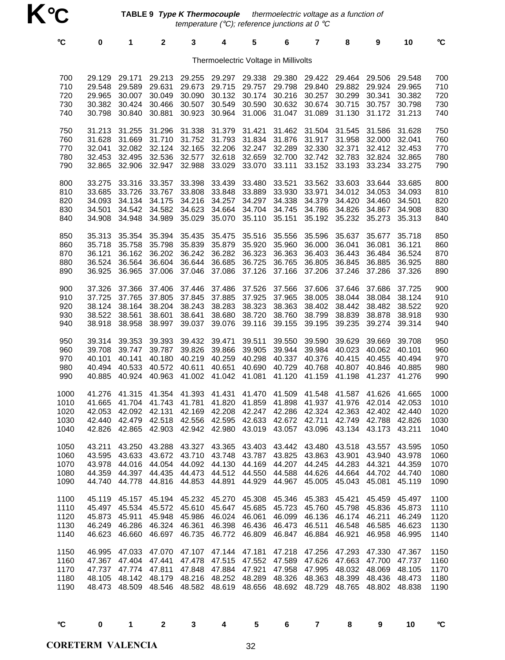**TABLE 9 Type K Thermocouple** - thermoelectric voltage as a function of temperature ( $^{\circ}$ C); reference junctions at 0  $^{\circ}$ C

| °C                                   | $\mathbf 0$                                    | 1                                                         | $\mathbf{2}$                                                      | $\mathbf 3$                                            | 4                                                                        | 5                                              | 6                                              | 7                                              | 8                                              | 9                                                                                                                                                                                          | 10                                             | °C                                   |
|--------------------------------------|------------------------------------------------|-----------------------------------------------------------|-------------------------------------------------------------------|--------------------------------------------------------|--------------------------------------------------------------------------|------------------------------------------------|------------------------------------------------|------------------------------------------------|------------------------------------------------|--------------------------------------------------------------------------------------------------------------------------------------------------------------------------------------------|------------------------------------------------|--------------------------------------|
|                                      |                                                |                                                           |                                                                   |                                                        | Thermoelectric Voltage in Millivolts                                     |                                                |                                                |                                                |                                                |                                                                                                                                                                                            |                                                |                                      |
| 700<br>710<br>720<br>730<br>740      | 29.129<br>29.548<br>29.965<br>30.382<br>30.798 | 29.171<br>29.589<br>30.007<br>30.424<br>30.840            | 29.213<br>29.631<br>30.049<br>30.466<br>30.881                    | 29.255<br>29.673<br>30.090<br>30.923                   | 29.297<br>29.715<br>30.132<br>30.507 30.549<br>30.964                    | 29.338<br>29.757<br>30.174<br>30.590<br>31.006 | 29.380<br>29.798<br>30.216<br>30.632<br>31.047 | 29.422<br>29.840<br>30.257<br>30.674<br>31.089 | 29.464<br>29.882<br>30.299<br>30.715           | 29.506<br>29.924<br>30.341<br>30.757<br>31.130 31.172                                                                                                                                      | 29.548<br>29.965<br>30.382<br>30.798<br>31.213 | 700<br>710<br>720<br>730<br>740      |
| 750<br>760<br>770<br>780<br>790      | 31.213<br>31.628<br>32.041<br>32.453<br>32.865 | 31.255<br>31.669<br>32.082<br>32.495<br>32.906            | 31.296<br>31.710<br>32.124<br>32.536<br>32.947 32.988             | 31.338<br>31.752 31.793<br>32.165<br>32.577            | 31.379<br>32.206<br>32.618<br>33.029                                     | 31.421<br>31.834<br>32.247<br>32.659<br>33.070 | 31.462<br>31.876<br>32.289<br>32.700<br>33.111 | 31.504<br>31.917<br>32.330<br>32.742<br>33.152 | 31.545<br>31.958<br>32.371<br>32.783<br>33.193 | 31.586<br>32.000<br>32.412<br>32.824<br>33.234                                                                                                                                             | 31.628<br>32.041<br>32.453<br>32.865<br>33.275 | 750<br>760<br>770<br>780<br>790      |
| 800<br>810<br>820<br>830<br>840      | 33.275<br>33.685<br>34.093<br>34.501<br>34.908 | 33.316<br>33.726<br>34.134<br>34.542<br>34.948            | 33.357<br>33.767<br>34.175<br>34.582<br>34.989                    | 33.398<br>33.808<br>34.216<br>34.623<br>35.029         | 33.439<br>33.848<br>34.257<br>34.664<br>35.070                           | 33.480<br>33.889<br>34.297<br>34.704<br>35.110 | 33.521<br>33.930<br>34.338<br>34.745<br>35.151 | 33.562<br>33.971<br>34.379<br>34.786<br>35.192 | 33.603<br>34.012<br>34.420<br>34.826<br>35.232 | 33.644<br>34.053<br>34.460<br>34.867<br>35.273                                                                                                                                             | 33.685<br>34.093<br>34.501<br>34.908<br>35.313 | 800<br>810<br>820<br>830<br>840      |
| 850<br>860<br>870<br>880<br>890      | 35.313<br>35.718<br>36.121<br>36.524<br>36.925 | 35.354<br>35.758<br>36.162<br>36.564<br>36.965            | 35.394<br>35.798<br>36.202<br>36.604<br>37.006                    | 35.435<br>35.839<br>36.242<br>36.644<br>37.046         | 35.475<br>35.879<br>36.282<br>36.685<br>37.086                           | 35.516<br>35.920<br>36.323<br>36.725<br>37.126 | 35.556<br>35.960<br>36.363<br>36.765<br>37.166 | 35.596<br>36.000<br>36.403<br>36.805<br>37.206 | 35.637<br>36.041<br>36.443<br>36.845<br>37.246 | 35.677<br>36.081<br>36.484<br>36.885<br>37.286                                                                                                                                             | 35.718<br>36.121<br>36.524<br>36.925<br>37.326 | 850<br>860<br>870<br>880<br>890      |
| 900<br>910<br>920<br>930<br>940      | 37.326<br>37.725<br>38.124<br>38.522<br>38.918 | 37.366<br>37.765<br>38.164<br>38.561<br>38.958            | 37.406<br>37.805<br>38.204<br>38.601<br>38.997                    | 37.446<br>37.845<br>38.243<br>38.641<br>39.037         | 37.486<br>37.885<br>38.283<br>38.680<br>39.076                           | 37.526<br>37.925<br>38.323<br>38.720<br>39.116 | 37.566<br>37.965<br>38.363<br>38.760<br>39.155 | 37.606<br>38.005<br>38.402<br>38.799<br>39.195 | 37.646<br>38.044<br>38.442<br>38.839<br>39.235 | 37.686<br>38.084<br>38.482<br>38.878<br>39.274                                                                                                                                             | 37.725<br>38.124<br>38.522<br>38.918<br>39.314 | 900<br>910<br>920<br>930<br>940      |
| 950<br>960<br>970<br>980<br>990      | 39.314<br>39.708<br>40.101<br>40.494<br>40.885 | 39.353<br>39.747<br>40.141<br>40.533<br>40.924            | 39.393<br>39.787<br>40.180<br>40.572<br>40.963                    | 39.432<br>39.826<br>40.219<br>40.611                   | 39.471<br>39.866<br>40.259<br>40.651<br>41.002 41.042                    | 39.511<br>39.905<br>40.298<br>40.690<br>41.081 | 39.550<br>39.944<br>40.337<br>40.729<br>41.120 | 39.590<br>39.984<br>40.376<br>40.768<br>41.159 | 39.629<br>40.023<br>40.415<br>41.198           | 39.669<br>40.062<br>40.455<br>40.807 40.846<br>41.237                                                                                                                                      | 39.708<br>40.101<br>40.494<br>40.885<br>41.276 | 950<br>960<br>970<br>980<br>990      |
| 1000<br>1010<br>1020<br>1030<br>1040 | 41.276<br>41.665<br>42.053                     | 41.315<br>41.704<br>42.092                                | 41.354<br>41.743 41.781<br>42.131                                 | 41.393<br>42.169                                       | 41.431<br>42.208                                                         | 41.470<br>41.820 41.859<br>42.247              | 41.509<br>41.898<br>42.286                     | 41.548<br>41.937<br>42.324                     | 41.587<br>41.976<br>42.363                     | 41.626<br>42.014<br>42.402<br>42.440 42.479 42.518 42.556 42.595 42.633 42.672 42.711 42.749 42.788 42.826<br>42.826 42.865 42.903 42.942 42.980 43.019 43.057 43.096 43.134 43.173 43.211 | 41.665<br>42.053<br>42.440                     | 1000<br>1010<br>1020<br>1030<br>1040 |
| 1050<br>1060<br>1070<br>1080<br>1090 | 43.211<br>43.978<br>44.359<br>44.740           | 43.250<br>44.016<br>44.397<br>44.778                      | 43.595 43.633 43.672 43.710 43.748 43.787<br>44.816 44.853 44.891 | 44.435 44.473 44.512                                   | 43.288 43.327 43.365 43.403 43.442 43.480<br>44.054 44.092 44.130 44.169 | 44.550<br>44.929                               | 43.825<br>44.207<br>44.588<br>44.967           | 44.245<br>44.626<br>45.005                     | 44.283<br>45.043                               | 43.518 43.557<br>43.863 43.901 43.940 43.978<br>44.321<br>44.664 44.702<br>45.081                                                                                                          | 43.595<br>44.359<br>44.740<br>45.119           | 1050<br>1060<br>1070<br>1080<br>1090 |
| 1100<br>1110<br>1120<br>1130<br>1140 | 45.119<br>45.497<br>45.873<br>46.249<br>46.623 | 45.157<br>45.534<br>45.911<br>46.286<br>46.660            | 46.324 46.361<br>46.697                                           | 45.194 45.232<br>45.572 45.610<br>45.948 45.986 46.024 | 45.270<br>45.647<br>46.398<br>46.735 46.772                              | 45.308<br>45.685<br>46.061<br>46.436<br>46.809 | 45.346<br>45.723<br>46.099<br>46.473<br>46.847 | 45.383<br>45.760<br>46.136<br>46.511<br>46.884 | 45.421<br>45.798<br>46.548<br>46.921           | 45.459<br>45.836<br>46.174 46.211<br>46.585<br>46.958                                                                                                                                      | 45.497<br>45.873<br>46.249<br>46.623<br>46.995 | 1100<br>1110<br>1120<br>1130<br>1140 |
| 1150<br>1160<br>1170<br>1180<br>1190 | 46.995<br>47.367<br>48.105                     | 47.033<br>47.404<br>47.737 47.774 47.811<br>48.473 48.509 | 47.070<br>47.441<br>48.142 48.179 48.216 48.252 48.289            | 47.478<br>47.848 47.884                                | 47.107 47.144 47.181<br>47.515<br>48.546 48.582 48.619 48.656            | 47.552<br>47.921                               | 47.218<br>47.589<br>47.958<br>48.326<br>48.692 | 47.256<br>47.626<br>47.995<br>48.363<br>48.729 | 47.293<br>47.663<br>48.765                     | 47.330<br>47.700<br>48.032 48.069 48.105<br>48.399 48.436<br>48.802 48.838                                                                                                                 | 47.367<br>47.737<br>48.473                     | 1150<br>1160<br>1170<br>1180<br>1190 |

°**C 0 1 2 3 4 5 6 7 8 9 10** °**C**

**CORETERM VALENCIA** 32